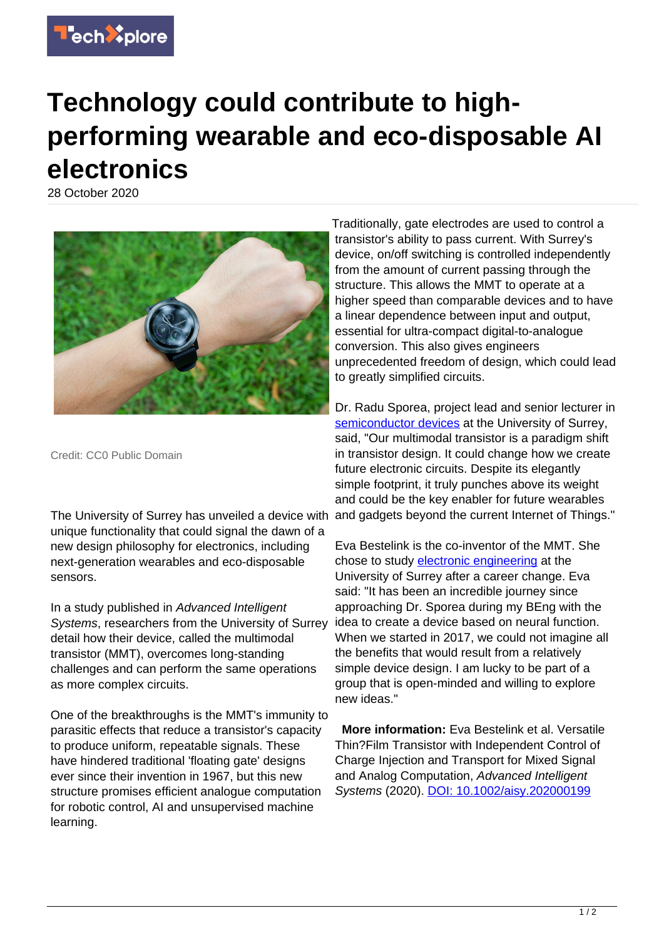

## **Technology could contribute to highperforming wearable and eco-disposable AI electronics**

28 October 2020



Credit: CC0 Public Domain

The University of Surrey has unveiled a device with unique functionality that could signal the dawn of a new design philosophy for electronics, including next-generation wearables and eco-disposable sensors.

In a study published in Advanced Intelligent Systems, researchers from the University of Surrey detail how their device, called the multimodal transistor (MMT), overcomes long-standing challenges and can perform the same operations as more complex circuits.

One of the breakthroughs is the MMT's immunity to parasitic effects that reduce a transistor's capacity to produce uniform, repeatable signals. These have hindered traditional 'floating gate' designs ever since their invention in 1967, but this new structure promises efficient analogue computation for robotic control, AI and unsupervised machine learning.

Traditionally, gate electrodes are used to control a transistor's ability to pass current. With Surrey's device, on/off switching is controlled independently from the amount of current passing through the structure. This allows the MMT to operate at a higher speed than comparable devices and to have a linear dependence between input and output, essential for ultra-compact digital-to-analogue conversion. This also gives engineers unprecedented freedom of design, which could lead to greatly simplified circuits.

Dr. Radu Sporea, project lead and senior lecturer in [semiconductor devices](https://techxplore.com/tags/semiconductor+devices/) at the University of Surrey, said, "Our multimodal transistor is a paradigm shift in transistor design. It could change how we create future electronic circuits. Despite its elegantly simple footprint, it truly punches above its weight and could be the key enabler for future wearables and gadgets beyond the current Internet of Things."

Eva Bestelink is the co-inventor of the MMT. She chose to study [electronic engineering](https://techxplore.com/tags/electronic+engineering/) at the University of Surrey after a career change. Eva said: "It has been an incredible journey since approaching Dr. Sporea during my BEng with the idea to create a device based on neural function. When we started in 2017, we could not imagine all the benefits that would result from a relatively simple device design. I am lucky to be part of a group that is open-minded and willing to explore new ideas."

 **More information:** Eva Bestelink et al. Versatile Thin?Film Transistor with Independent Control of Charge Injection and Transport for Mixed Signal and Analog Computation, Advanced Intelligent Systems (2020). [DOI: 10.1002/aisy.202000199](http://dx.doi.org/10.1002/aisy.202000199)